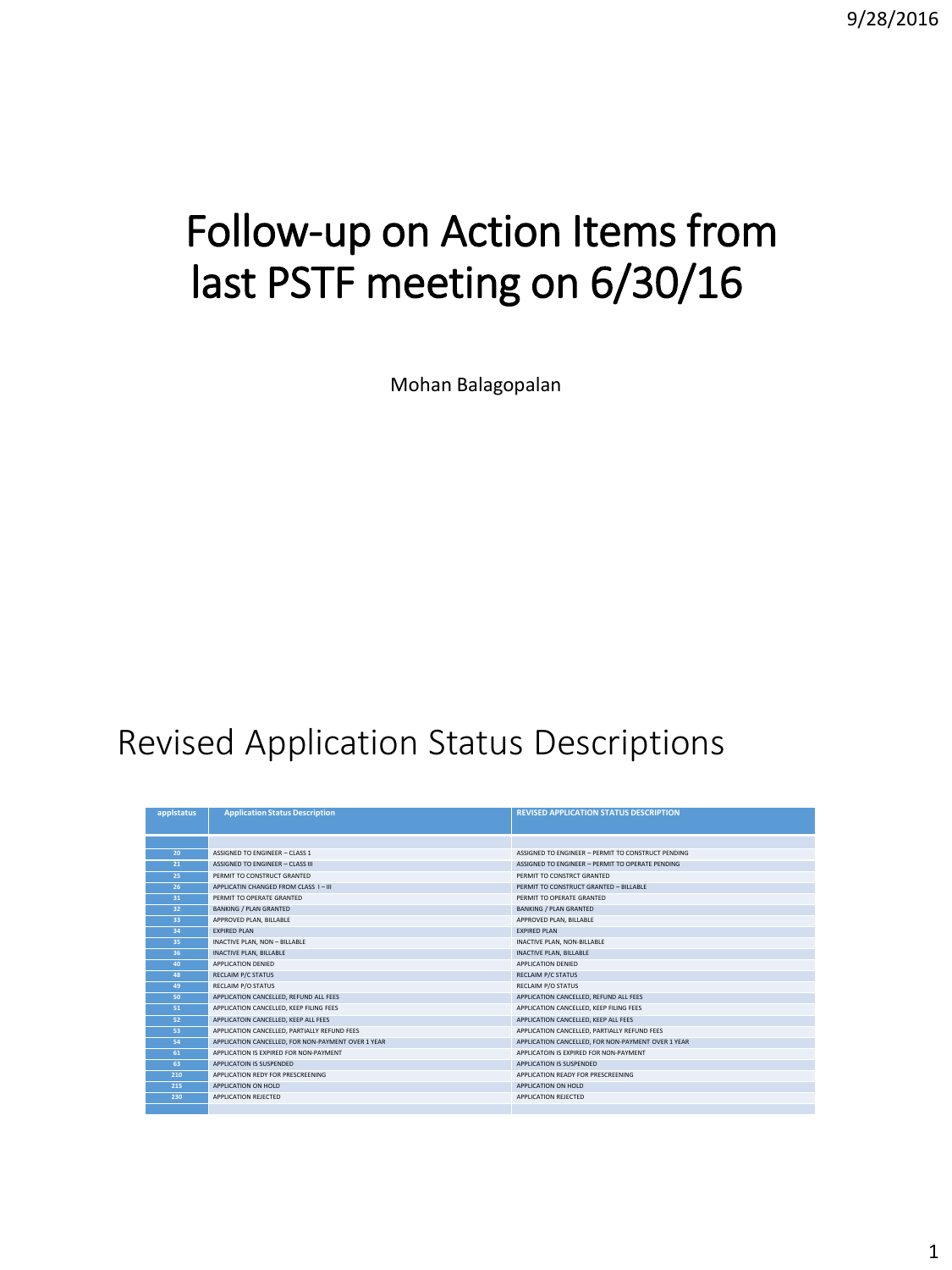9/28/2016

# Follow-up on Action Items from last PSTF meeting on 6/30/16

Mohan Balagopalan

## Revised Application Status Descriptions

| applstatus      | <b>Application Status Description</b>              | <b>REVISED APPLICATION STATUS DESCRIPTION</b>      |
|-----------------|----------------------------------------------------|----------------------------------------------------|
|                 |                                                    |                                                    |
|                 |                                                    |                                                    |
| 20              | ASSIGNED TO ENGINEER - CLASS 1                     | ASSIGNED TO ENGINEER - PERMIT TO CONSTRUCT PENDING |
| 21              | <b>ASSIGNED TO ENGINEER - CLASS III</b>            | ASSIGNED TO ENGINEER - PERMIT TO OPERATE PENDING   |
| 25              | PERMIT TO CONSTRUCT GRANTED                        | PERMIT TO CONSTRCT GRANTED                         |
| 26              | APPLICATIN CHANGED FROM CLASS I-III                | PERMIT TO CONSTRUCT GRANTED - BILLABLE             |
| 31              | PERMIT TO OPERATE GRANTED                          | PERMIT TO OPERATE GRANTED                          |
| 32 <sup>°</sup> | <b>BANKING / PLAN GRANTED</b>                      | <b>BANKING / PLAN GRANTED</b>                      |
| 33              | APPROVED PLAN, BILLABLE                            | APPROVED PLAN, BILLABLE                            |
| 34              | <b>EXPIRED PLAN</b>                                | <b>EXPIRED PLAN</b>                                |
| 35              | INACTIVE PLAN, NON - BILLABLE                      | INACTIVE PLAN, NON-BILLABLE                        |
| 36              | <b>INACTIVE PLAN, BILLABLE</b>                     | INACTIVE PLAN, BILLABLE                            |
| 40              | APPLICATION DENIED                                 | APPLICATION DENIED                                 |
| 48              | <b>RECLAIM P/C STATUS</b>                          | <b>RECLAIM P/C STATUS</b>                          |
| 49              | RECLAIM P/O STATUS                                 | RECLAIM P/O STATUS                                 |
| 50              | APPLICATION CANCELLED, REFUND ALL FEES             | APPLICATION CANCELLED, REFUND ALL FEES             |
| 51              | APPLICATION CANCELLED, KEEP FILING FEES            | APPLICATION CANCELLED, KEEP FILING FEES            |
| 52              | APPLICATOIN CANCELLED. KEEP ALL FEES               | APPLICATION CANCELLED. KEEP ALL FEES               |
| 53              | APPLICATION CANCELLED. PARTIALLY REFUND FEES       | APPLICATION CANCELLED. PARTIALLY REFUND FEES       |
| 54              | APPLICATION CANCELLED, FOR NON-PAYMENT OVER 1 YEAR | APPLICATION CANCELLED, FOR NON-PAYMENT OVER 1 YEAR |
| 61              | APPLICATION IS EXPIRED FOR NON-PAYMENT             | APPLICATOIN IS EXPIRED FOR NON-PAYMENT             |
| 63              | APPLICATOIN IS SUSPENDED                           | APPLICATION IS SUSPENDED                           |
| 210             | APPLICATION REDY FOR PRESCREENING                  | APPLICATION READY FOR PRESCREENING                 |
| 215             | APPLICATION ON HOLD                                | APPLICATION ON HOLD                                |
| 230             | APPLICATION REJECTED                               | APPLICATION REJECTED                               |
|                 |                                                    |                                                    |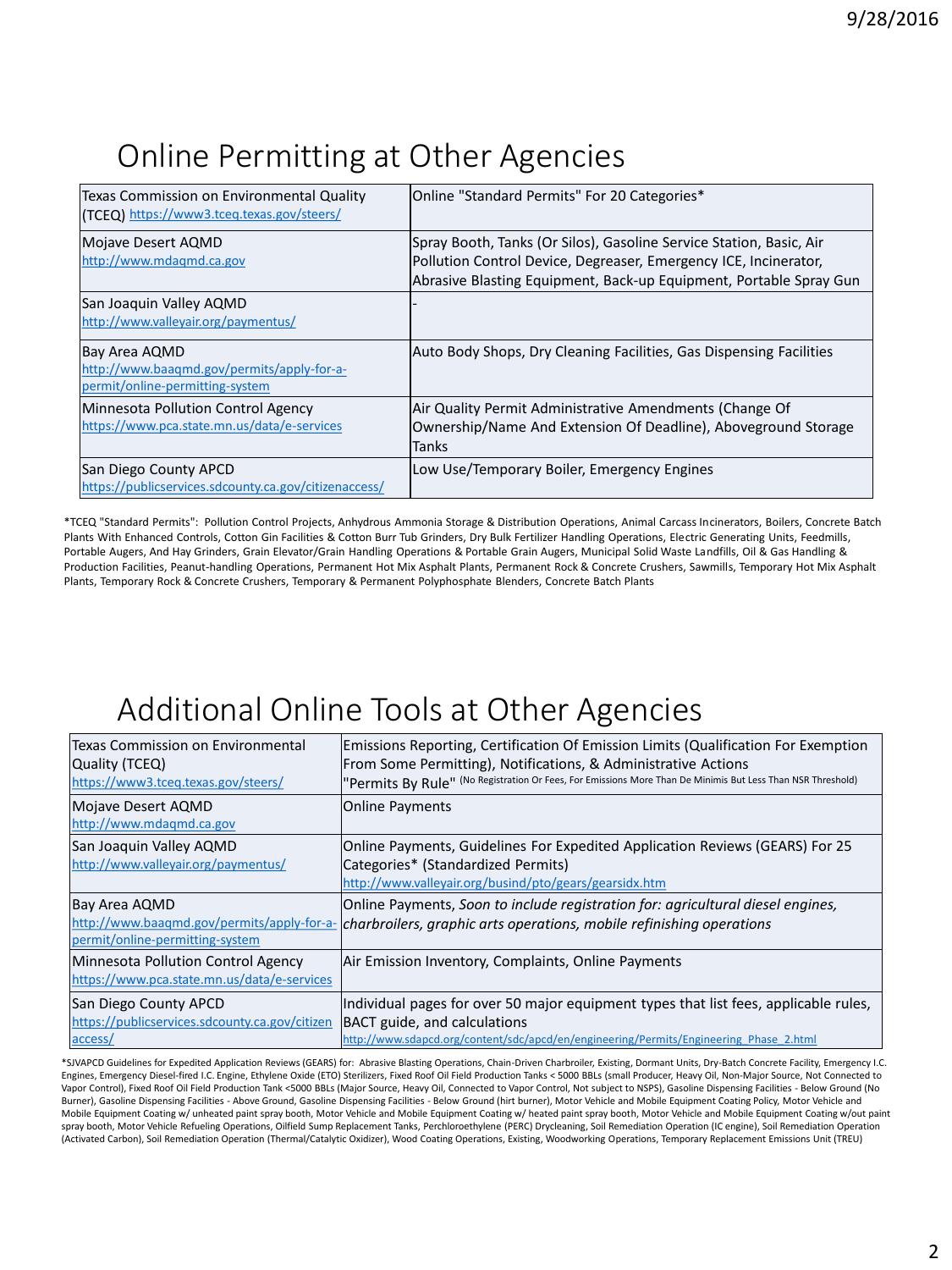#### Online Permitting at Other Agencies

| Texas Commission on Environmental Quality<br>(TCEQ) https://www3.tceq.texas.gov/steers/        | Online "Standard Permits" For 20 Categories*                                                                                                                                                                  |
|------------------------------------------------------------------------------------------------|---------------------------------------------------------------------------------------------------------------------------------------------------------------------------------------------------------------|
| Mojave Desert AQMD<br>http://www.mdaqmd.ca.gov                                                 | Spray Booth, Tanks (Or Silos), Gasoline Service Station, Basic, Air<br>Pollution Control Device, Degreaser, Emergency ICE, Incinerator,<br>Abrasive Blasting Equipment, Back-up Equipment, Portable Spray Gun |
| San Joaquin Valley AQMD<br>http://www.valleyair.org/paymentus/                                 |                                                                                                                                                                                                               |
| Bay Area AQMD<br>http://www.baaqmd.gov/permits/apply-for-a-<br>permit/online-permitting-system | Auto Body Shops, Dry Cleaning Facilities, Gas Dispensing Facilities                                                                                                                                           |
| Minnesota Pollution Control Agency<br>https://www.pca.state.mn.us/data/e-services              | Air Quality Permit Administrative Amendments (Change Of<br>Ownership/Name And Extension Of Deadline), Aboveground Storage<br><b>Tanks</b>                                                                     |
| San Diego County APCD<br>https://publicservices.sdcounty.ca.gov/citizenaccess/                 | Low Use/Temporary Boiler, Emergency Engines                                                                                                                                                                   |

\*TCEQ "Standard Permits": Pollution Control Projects, Anhydrous Ammonia Storage & Distribution Operations, Animal Carcass Incinerators, Boilers, Concrete Batch Plants With Enhanced Controls, Cotton Gin Facilities & Cotton Burr Tub Grinders, Dry Bulk Fertilizer Handling Operations, Electric Generating Units, Feedmills, Portable Augers, And Hay Grinders, Grain Elevator/Grain Handling Operations & Portable Grain Augers, Municipal Solid Waste Landfills, Oil & Gas Handling & Production Facilities, Peanut-handling Operations, Permanent Hot Mix Asphalt Plants, Permanent Rock & Concrete Crushers, Sawmills, Temporary Hot Mix Asphalt Plants, Temporary Rock & Concrete Crushers, Temporary & Permanent Polyphosphate Blenders, Concrete Batch Plants

### Additional Online Tools at Other Agencies

| Texas Commission on Environmental<br>Quality (TCEQ)<br>https://www3.tceg.texas.gov/steers/     | Emissions Reporting, Certification Of Emission Limits (Qualification For Exemption<br>From Some Permitting), Notifications, & Administrative Actions<br>"Permits By Rule" (No Registration Or Fees, For Emissions More Than De Minimis But Less Than NSR Threshold) |
|------------------------------------------------------------------------------------------------|---------------------------------------------------------------------------------------------------------------------------------------------------------------------------------------------------------------------------------------------------------------------|
| Mojave Desert AQMD<br>http://www.mdagmd.ca.gov                                                 | <b>Online Payments</b>                                                                                                                                                                                                                                              |
| San Joaquin Valley AQMD<br>http://www.valleyair.org/paymentus/                                 | Online Payments, Guidelines For Expedited Application Reviews (GEARS) For 25<br>Categories* (Standardized Permits)<br>http://www.valleyair.org/busind/pto/gears/gearsidx.htm                                                                                        |
| Bay Area AQMD<br>http://www.baaqmd.gov/permits/apply-for-a-<br>permit/online-permitting-system | Online Payments, Soon to include registration for: agricultural diesel engines,<br>charbroilers, graphic arts operations, mobile refinishing operations                                                                                                             |
| Minnesota Pollution Control Agency<br>https://www.pca.state.mn.us/data/e-services              | Air Emission Inventory, Complaints, Online Payments                                                                                                                                                                                                                 |
| San Diego County APCD<br>https://publicservices.sdcounty.ca.gov/citizen<br>access/             | Individual pages for over 50 major equipment types that list fees, applicable rules,<br>BACT guide, and calculations<br>http://www.sdapcd.org/content/sdc/apcd/en/engineering/Permits/Engineering Phase 2.html                                                      |

\*SJVAPCD Guidelines for Expedited Application Reviews (GEARS) for: Abrasive Blasting Operations, Chain-Driven Charbroiler, Existing, Dormant Units, Dry-Batch Concrete Facility, Emergency I.C. Engines, Emergency Diesel-fired I.C. Engine, Ethylene Oxide (ETO) Sterilizers, Fixed Roof Oil Field Production Tanks < 5000 BBLs (small Producer, Heavy Oil, Non-Major Source, Not Connected to Vapor Control), Fixed Roof Oil Field Production Tank <5000 BBLs (Major Source, Heavy Oil, Connected to Vapor Control, Not subject to NSPS), Gasoline Dispensing Facilities - Below Ground (No Burner), Gasoline Dispensing Facilities - Above Ground, Gasoline Dispensing Facilities - Below Ground (hirt burner), Motor Vehicle and Mobile Equipment Coating Policy, Motor Vehicle and Mobile Equipment Coating w/ unheated paint spray booth, Motor Vehicle and Mobile Equipment Coating w/ heated paint spray booth, Motor Vehicle and Mobile Equipment Coating w/out paint spray booth, Motor Vehicle Refueling Operations, Oilfield Sump Replacement Tanks, Perchloroethylene (PERC) Drycleaning, Soil Remediation Operation (IC engine), Soil Remediation Operation (Activated Carbon), Soil Remediation Operation (Thermal/Catalytic Oxidizer), Wood Coating Operations, Existing, Woodworking Operations, Temporary Replacement Emissions Unit (TREU)